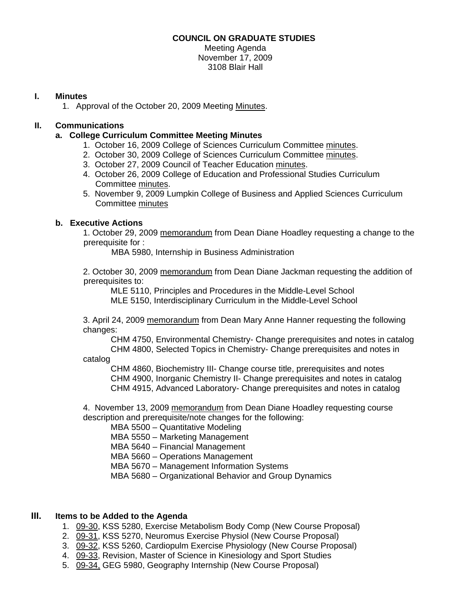### **COUNCIL ON GRADUATE STUDIES**

Meeting Agenda November 17, 2009 3108 Blair Hall

### **I. Minutes**

1. Approval of the October 20, 2009 Meeti[ng Minutes.](http://www.eiu.edu/~eiucgs/currentminutes/Minutes10-20-09.pdf) 

# **II. Communications**

- **a. College Curriculum Committee Meeting Minutes** 
	- 1. October 16, 2009 College of Sciences Curriculum Committe[e minutes.](http://www.eiu.edu/~eiucgs/currentagendaitems/COSMin10-16-09.pdf)
	- 2. October 30, 2009 College of Sciences Curriculum Committe[e minutes.](http://www.eiu.edu/~eiucgs/currentagendaitems/COSMin10-30-09.pdf)
	- 3. October 27, 2009 Council of Teacher Education [minutes.](http://www.eiu.edu/~eiucgs/currentagendaitems/COTEMin10-27-09.pdf)
	- 4. October 26, 2009 College of Education and Professional Studies Curriculum Committe[e minutes.](http://www.eiu.edu/~eiucgs/currentagendaitems/CEPSMin10-26-09.pdf)
	- 5. November 9, 2009 Lumpkin College of Business and Applied Sciences Curriculum Committe[e minutes](http://www.eiu.edu/~eiucgs/currentagendaitems/LCBASMin11-09-09.pdf)

# **b. Executive Actions**

1. October 29, 2009 [memorandum fr](http://www.eiu.edu/~eiucgs/currentagendaitems/LCBAS-exec-act-10-29-09.pdf)om Dean Diane Hoadley requesting a change to the prerequisite for :

MBA 5980, Internship in Business Administration

 2. October 30, 2[009 memorandum fro](http://www.eiu.edu/~eiucgs/currentagendaitems/CEPS-exec-act-10-30-09.pdf)m Dean Diane Jackman requesting the addition of prerequisites to:

MLE 5110, Principles and Procedures in the Middle-Level School

MLE 5150, Interdisciplinary Curriculum in the Middle-Level School

3. April 24, 200[9 memorandum fro](http://www.eiu.edu/~eiucgs/currentagendaitems/COS-4-24-09ExecAct.pdf)m Dean Mary Anne Hanner requesting the following changes:

 CHM 4750, Environmental Chemistry- Change prerequisites and notes in catalog CHM 4800, Selected Topics in Chemistry- Change prerequisites and notes in catalog

 CHM 4860, Biochemistry III- Change course title, prerequisites and notes CHM 4900, Inorganic Chemistry II- Change prerequisites and notes in catalog CHM 4915, Advanced Laboratory- Change prerequisites and notes in catalog

4. November 13, 200[9 memorandum fr](http://www.eiu.edu/~eiucgs/currentagendaitems/LCBAS-exec-act-11-13-09.pdf)om Dean Diane Hoadley requesting course description and prerequisite/note changes for the following:

MBA 5500 – Quantitative Modeling

MBA 5550 – Marketing Management

MBA 5640 – Financial Management

MBA 5660 – Operations Management

MBA 5670 – Management Information Systems

MBA 5680 – Organizational Behavior and Group Dynamics

# **III. Items to be Added to the Agenda**

- 1. [09-30, K](http://www.eiu.edu/~eiucgs/currentagendaitems/agenda09-30.pdf)SS 5280, Exercise Metabolism Body Comp (New Course Proposal)
- 2. [09-31,](http://www.eiu.edu/~eiucgs/currentagendaitems/agenda09-31.pdf) KSS 5270, Neuromus Exercise Physiol (New Course Proposal)
- 3. [09-32, K](http://www.eiu.edu/~eiucgs/currentagendaitems/agenda09-32.pdf)SS 5260, Cardiopulm Exercise Physiology (New Course Proposal)
- 4. [09-33, Re](http://www.eiu.edu/~eiucgs/currentagendaitems/agenda09-33.pdf)vision, Master of Science in Kinesiology and Sport Studies
- 5. [09-34, GE](http://www.eiu.edu/~eiucgs/currentagendaitems/agenda09-34.pdf)G 5980, Geography Internship (New Course Proposal)